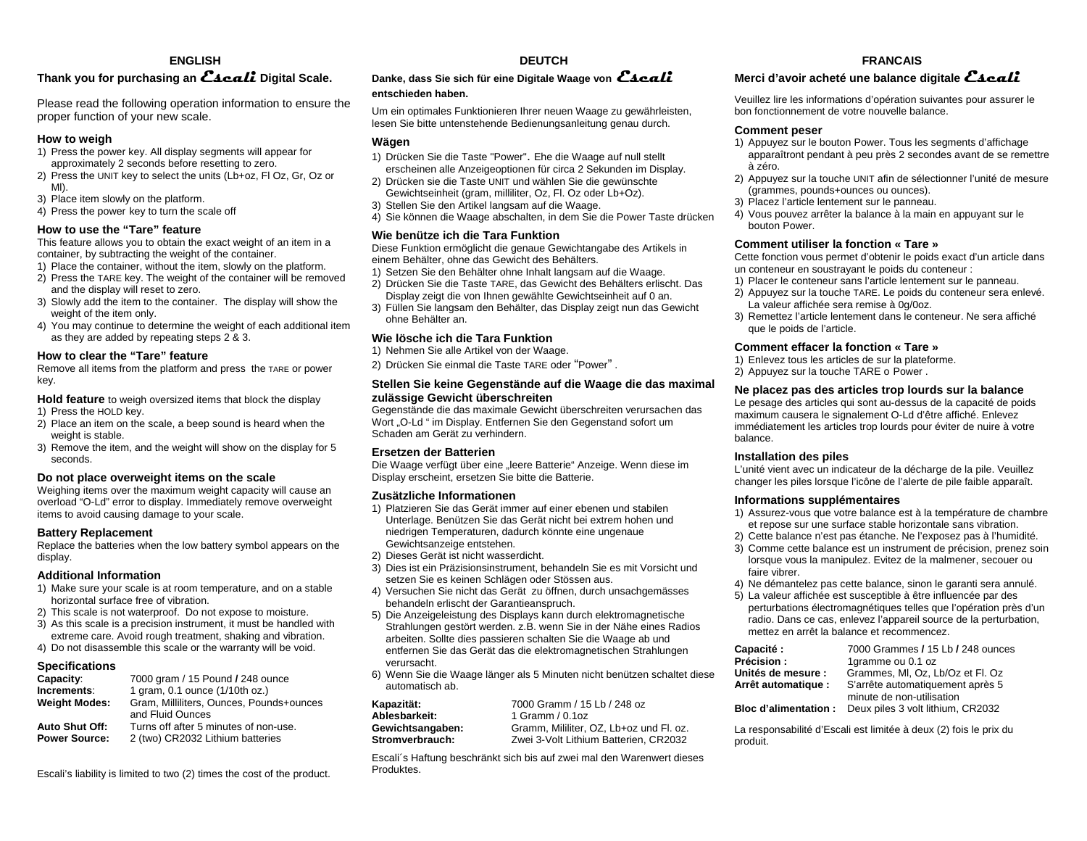## **ENGLISH**

# **Thank you for purchasing an Escali Digital Scale.**

Please read the following operation information to ensure the proper function of your new scale.

### **How to weigh**

- 1) Press the power key. All display segments will appear for approximately 2 seconds before resetting to zero.
- 2) Press the UNIT key to select the units (Lb+oz, Fl Oz, Gr, Oz or Ml).
- 3) Place item slowly on the platform.
- 4) Press the power key to turn the scale off

## **How to use the "Tare" feature**

This feature allows you to obtain the exact weight of an item in a container, by subtracting the weight of the container.

- 1) Place the container, without the item, slowly on the platform.
- 2) Press the TARE key. The weight of the container will be removed and the display will reset to zero.
- 3) Slowly add the item to the container. The display will show the weight of the item only.
- 4) You may continue to determine the weight of each additional item as they are added by repeating steps 2 & 3.

#### **How to clear the "Tare" feature**

Remove all items from the platform and press the TARE or power key.

**Hold feature** to weigh oversized items that block the display

- 1) Press the HOLD key.
- 2) Place an item on the scale, a beep sound is heard when the weight is stable.
- 3) Remove the item, and the weight will show on the display for 5 seconds.

#### **Do not place overweight items on the scale**

Weighing items over the maximum weight capacity will cause an overload "O-Ld" error to display. Immediately remove overweight items to avoid causing damage to your scale.

#### **Battery Replacement**

Replace the batteries when the low battery symbol appears on the display.

#### **Additional Information**

- 1) Make sure your scale is at room temperature, and on a stable horizontal surface free of vibration.
- 2) This scale is not waterproof. Do not expose to moisture.
- 3) As this scale is a precision instrument, it must be handled with extreme care. Avoid rough treatment, shaking and vibration.
- 4) Do not disassemble this scale or the warranty will be void.

#### **Specifications**

| Capacity:                                     | 7000 gram / 15 Pound / 248 ounce                                          |
|-----------------------------------------------|---------------------------------------------------------------------------|
| Increments:                                   | 1 gram, 0.1 ounce (1/10th oz.)                                            |
| Weight Modes:                                 | Gram, Milliliters, Ounces, Pounds+ounces<br>and Fluid Ounces              |
| <b>Auto Shut Off:</b><br><b>Power Source:</b> | Turns off after 5 minutes of non-use.<br>2 (two) CR2032 Lithium batteries |

Escali's liability is limited to two (2) times the cost of the product.